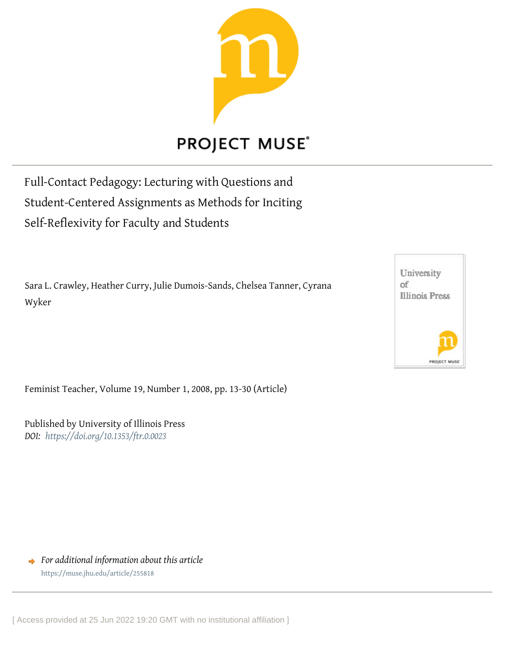

# **PROJECT MUSE®**

Full-Contact Pedagogy: Lecturing with Questions and Student-Centered Assignments as Methods for Inciting Self-Reflexivity for Faculty and Students

Sara L. Crawley, Heather Curry, Julie Dumois-Sands, Chelsea Tanner, Cyrana Wyker



Feminist Teacher, Volume 19, Number 1, 2008, pp. 13-30 (Article)

Published by University of Illinois Press *DOI: <https://doi.org/10.1353/ftr.0.0023>*

*For additional information about this article* <https://muse.jhu.edu/article/255818>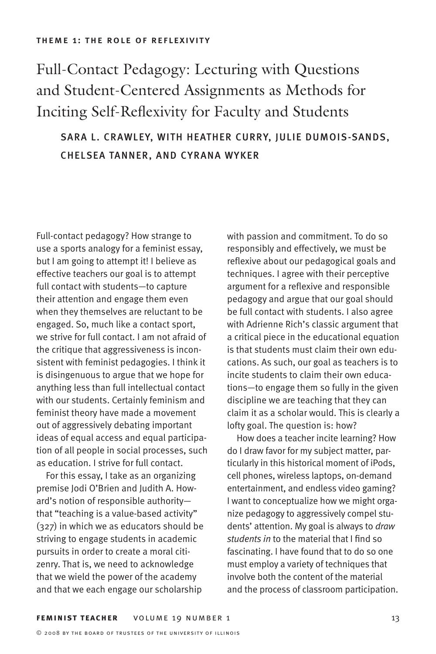Full-Contact Pedagogy: Lecturing with Questions and Student-Centered Assignments as Methods for Inciting Self-Reflexivity for Faculty and Students

## Sara L. Crawley, with Heather Curry, Julie Dumois-Sands, Chelsea Tanner, and Cyrana Wyker

Full-contact pedagogy? How strange to use a sports analogy for a feminist essay, but I am going to attempt it! I believe as effective teachers our goal is to attempt full contact with students—to capture their attention and engage them even when they themselves are reluctant to be engaged. So, much like a contact sport, we strive for full contact. I am not afraid of the critique that aggressiveness is inconsistent with feminist pedagogies. I think it is disingenuous to argue that we hope for anything less than full intellectual contact with our students. Certainly feminism and feminist theory have made a movement out of aggressively debating important ideas of equal access and equal participation of all people in social processes, such as education. I strive for full contact.

For this essay, I take as an organizing premise Jodi O'Brien and Judith A. Howard's notion of responsible authority that "teaching is a value-based activity" (327) in which we as educators should be striving to engage students in academic pursuits in order to create a moral citizenry. That is, we need to acknowledge that we wield the power of the academy and that we each engage our scholarship

with passion and commitment. To do so responsibly and effectively, we must be reflexive about our pedagogical goals and techniques. I agree with their perceptive argument for a reflexive and responsible pedagogy and argue that our goal should be full contact with students. I also agree with Adrienne Rich's classic argument that a critical piece in the educational equation is that students must claim their own educations. As such, our goal as teachers is to incite students to claim their own educations—to engage them so fully in the given discipline we are teaching that they can claim it as a scholar would. This is clearly a lofty goal. The question is: how?

How does a teacher incite learning? How do I draw favor for my subject matter, particularly in this historical moment of iPods, cell phones, wireless laptops, on-demand entertainment, and endless video gaming? I want to conceptualize how we might organize pedagogy to aggressively compel students' attention. My goal is always to *draw students in* to the material that I find so fascinating. I have found that to do so one must employ a variety of techniques that involve both the content of the material and the process of classroom participation.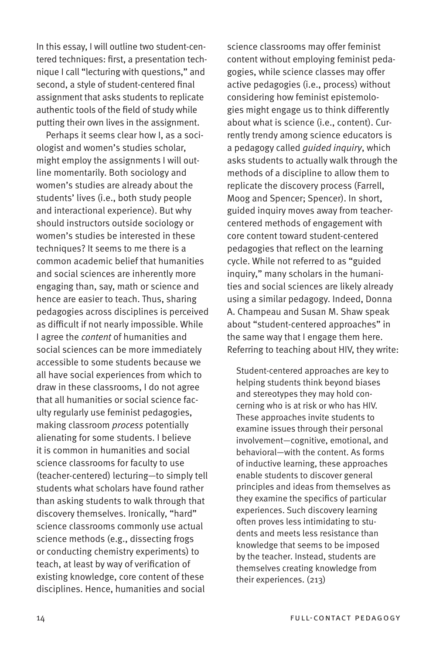In this essay, I will outline two student-centered techniques: first, a presentation technique I call "lecturing with questions," and second, a style of student-centered final assignment that asks students to replicate authentic tools of the field of study while putting their own lives in the assignment.

Perhaps it seems clear how I, as a sociologist and women's studies scholar, might employ the assignments I will outline momentarily. Both sociology and women's studies are already about the students' lives (i.e., both study people and interactional experience). But why should instructors outside sociology or women's studies be interested in these techniques? It seems to me there is a common academic belief that humanities and social sciences are inherently more engaging than, say, math or science and hence are easier to teach. Thus, sharing pedagogies across disciplines is perceived as difficult if not nearly impossible. While I agree the *content* of humanities and social sciences can be more immediately accessible to some students because we all have social experiences from which to draw in these classrooms, I do not agree that all humanities or social science faculty regularly use feminist pedagogies, making classroom *process* potentially alienating for some students. I believe it is common in humanities and social science classrooms for faculty to use (teacher-centered) lecturing—to simply tell students what scholars have found rather than asking students to walk through that discovery themselves. Ironically, "hard" science classrooms commonly use actual science methods (e.g., dissecting frogs or conducting chemistry experiments) to teach, at least by way of verification of existing knowledge, core content of these disciplines. Hence, humanities and social

science classrooms may offer feminist content without employing feminist pedagogies, while science classes may offer active pedagogies (i.e., process) without considering how feminist epistemologies might engage us to think differently about what is science (i.e., content). Currently trendy among science educators is a pedagogy called *guided inquiry*, which asks students to actually walk through the methods of a discipline to allow them to replicate the discovery process (Farrell, Moog and Spencer; Spencer). In short, guided inquiry moves away from teachercentered methods of engagement with core content toward student-centered pedagogies that reflect on the learning cycle. While not referred to as "guided inquiry," many scholars in the humanities and social sciences are likely already using a similar pedagogy. Indeed, Donna A. Champeau and Susan M. Shaw speak about "student-centered approaches" in the same way that I engage them here. Referring to teaching about HIV, they write:

Student-centered approaches are key to helping students think beyond biases and stereotypes they may hold concerning who is at risk or who has HIV. These approaches invite students to examine issues through their personal involvement—cognitive, emotional, and behavioral—with the content. As forms of inductive learning, these approaches enable students to discover general principles and ideas from themselves as they examine the specifics of particular experiences. Such discovery learning often proves less intimidating to students and meets less resistance than knowledge that seems to be imposed by the teacher. Instead, students are themselves creating knowledge from their experiences. (213)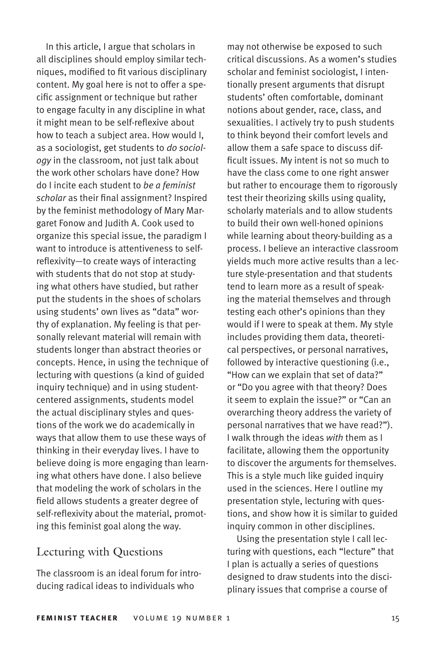In this article, I argue that scholars in all disciplines should employ similar techniques, modified to fit various disciplinary content. My goal here is not to offer a specific assignment or technique but rather to engage faculty in any discipline in what it might mean to be self-reflexive about how to teach a subject area. How would I, as a sociologist, get students to *do sociology* in the classroom, not just talk about the work other scholars have done? How do I incite each student to *be a feminist scholar* as their final assignment? Inspired by the feminist methodology of Mary Margaret Fonow and Judith A. Cook used to organize this special issue, the paradigm I want to introduce is attentiveness to selfreflexivity—to create ways of interacting with students that do not stop at studying what others have studied, but rather put the students in the shoes of scholars using students' own lives as "data" worthy of explanation. My feeling is that personally relevant material will remain with students longer than abstract theories or concepts. Hence, in using the technique of lecturing with questions (a kind of guided inquiry technique) and in using studentcentered assignments, students model the actual disciplinary styles and questions of the work we do academically in ways that allow them to use these ways of thinking in their everyday lives. I have to believe doing is more engaging than learning what others have done. I also believe that modeling the work of scholars in the field allows students a greater degree of self-reflexivity about the material, promoting this feminist goal along the way.

#### Lecturing with Questions

The classroom is an ideal forum for introducing radical ideas to individuals who

may not otherwise be exposed to such critical discussions. As a women's studies scholar and feminist sociologist, I intentionally present arguments that disrupt students' often comfortable, dominant notions about gender, race, class, and sexualities. I actively try to push students to think beyond their comfort levels and allow them a safe space to discuss difficult issues. My intent is not so much to have the class come to one right answer but rather to encourage them to rigorously test their theorizing skills using quality, scholarly materials and to allow students to build their own well-honed opinions while learning about theory-building as a process. I believe an interactive classroom yields much more active results than a lecture style-presentation and that students tend to learn more as a result of speaking the material themselves and through testing each other's opinions than they would if I were to speak at them. My style includes providing them data, theoretical perspectives, or personal narratives, followed by interactive questioning (i.e., "How can we explain that set of data?" or "Do you agree with that theory? Does it seem to explain the issue?" or "Can an overarching theory address the variety of personal narratives that we have read?"). I walk through the ideas *with* them as I facilitate, allowing them the opportunity to discover the arguments for themselves. This is a style much like guided inquiry used in the sciences. Here I outline my presentation style, lecturing with questions, and show how it is similar to guided inquiry common in other disciplines.

Using the presentation style I call lecturing with questions, each "lecture" that I plan is actually a series of questions designed to draw students into the disciplinary issues that comprise a course of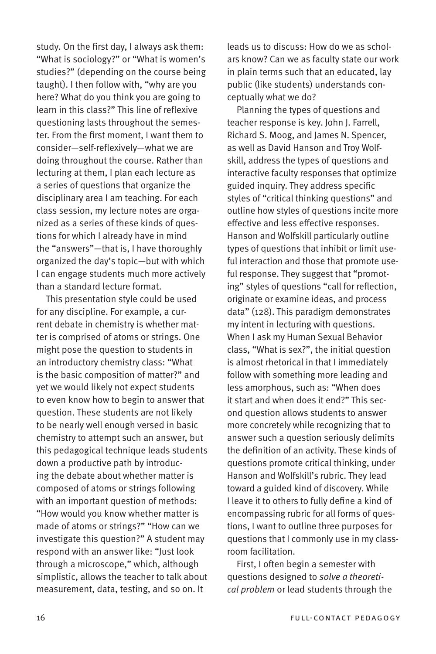study. On the first day, I always ask them: "What is sociology?" or "What is women's studies?" (depending on the course being taught). I then follow with, "why are you here? What do you think you are going to learn in this class?" This line of reflexive questioning lasts throughout the semester. From the first moment, I want them to consider—self-reflexively—what we are doing throughout the course. Rather than lecturing at them, I plan each lecture as a series of questions that organize the disciplinary area I am teaching. For each class session, my lecture notes are organized as a series of these kinds of questions for which I already have in mind the "answers"—that is, I have thoroughly organized the day's topic—but with which I can engage students much more actively than a standard lecture format.

This presentation style could be used for any discipline. For example, a current debate in chemistry is whether matter is comprised of atoms or strings. One might pose the question to students in an introductory chemistry class: "What is the basic composition of matter?" and yet we would likely not expect students to even know how to begin to answer that question. These students are not likely to be nearly well enough versed in basic chemistry to attempt such an answer, but this pedagogical technique leads students down a productive path by introducing the debate about whether matter is composed of atoms or strings following with an important question of methods: "How would you know whether matter is made of atoms or strings?" "How can we investigate this question?" A student may respond with an answer like: "Just look through a microscope," which, although simplistic, allows the teacher to talk about measurement, data, testing, and so on. It

leads us to discuss: How do we as scholars know? Can we as faculty state our work in plain terms such that an educated, lay public (like students) understands conceptually what we do?

Planning the types of questions and teacher response is key. John J. Farrell, Richard S. Moog, and James N. Spencer, as well as David Hanson and Troy Wolfskill, address the types of questions and interactive faculty responses that optimize guided inquiry. They address specific styles of "critical thinking questions" and outline how styles of questions incite more effective and less effective responses. Hanson and Wolfskill particularly outline types of questions that inhibit or limit useful interaction and those that promote useful response. They suggest that "promoting" styles of questions "call for reflection, originate or examine ideas, and process data" (128). This paradigm demonstrates my intent in lecturing with questions. When I ask my Human Sexual Behavior class, "What is sex?", the initial question is almost rhetorical in that I immediately follow with something more leading and less amorphous, such as: "When does it start and when does it end?" This second question allows students to answer more concretely while recognizing that to answer such a question seriously delimits the definition of an activity. These kinds of questions promote critical thinking, under Hanson and Wolfskill's rubric. They lead toward a guided kind of discovery. While I leave it to others to fully define a kind of encompassing rubric for all forms of questions, I want to outline three purposes for questions that I commonly use in my classroom facilitation.

First, I often begin a semester with questions designed to *solve a theoretical problem* or lead students through the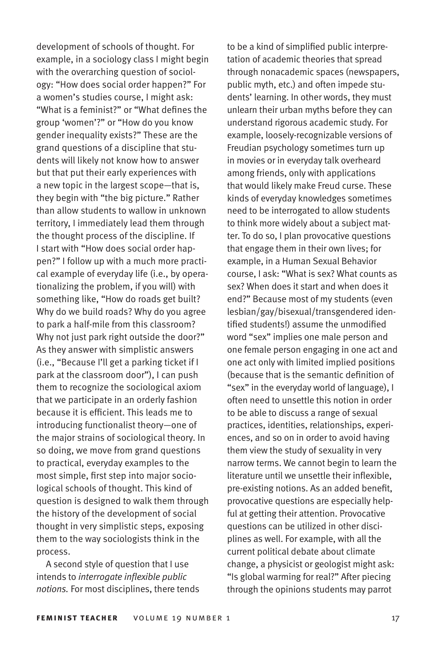development of schools of thought. For example, in a sociology class I might begin with the overarching question of sociology: "How does social order happen?" For a women's studies course, I might ask: "What is a feminist?" or "What defines the group 'women'?" or "How do you know gender inequality exists?" These are the grand questions of a discipline that students will likely not know how to answer but that put their early experiences with a new topic in the largest scope—that is, they begin with "the big picture." Rather than allow students to wallow in unknown territory, I immediately lead them through the thought process of the discipline. If I start with "How does social order happen?" I follow up with a much more practical example of everyday life (i.e., by operationalizing the problem, if you will) with something like, "How do roads get built? Why do we build roads? Why do you agree to park a half-mile from this classroom? Why not just park right outside the door?" As they answer with simplistic answers (i.e., "Because I'll get a parking ticket if I park at the classroom door"), I can push them to recognize the sociological axiom that we participate in an orderly fashion because it is efficient. This leads me to introducing functionalist theory—one of the major strains of sociological theory. In so doing, we move from grand questions to practical, everyday examples to the most simple, first step into major sociological schools of thought. This kind of question is designed to walk them through the history of the development of social thought in very simplistic steps, exposing them to the way sociologists think in the process.

A second style of question that I use intends to *interrogate inflexible public notions.* For most disciplines, there tends to be a kind of simplified public interpretation of academic theories that spread through nonacademic spaces (newspapers, public myth, etc.) and often impede students' learning. In other words, they must unlearn their urban myths before they can understand rigorous academic study. For example, loosely-recognizable versions of Freudian psychology sometimes turn up in movies or in everyday talk overheard among friends, only with applications that would likely make Freud curse. These kinds of everyday knowledges sometimes need to be interrogated to allow students to think more widely about a subject matter. To do so, I plan provocative questions that engage them in their own lives; for example, in a Human Sexual Behavior course, I ask: "What is sex? What counts as sex? When does it start and when does it end?" Because most of my students (even lesbian/gay/bisexual/transgendered identified students!) assume the unmodified word "sex" implies one male person and one female person engaging in one act and one act only with limited implied positions (because that is the semantic definition of "sex" in the everyday world of language), I often need to unsettle this notion in order to be able to discuss a range of sexual practices, identities, relationships, experiences, and so on in order to avoid having them view the study of sexuality in very narrow terms. We cannot begin to learn the literature until we unsettle their inflexible, pre-existing notions. As an added benefit, provocative questions are especially helpful at getting their attention. Provocative questions can be utilized in other disciplines as well. For example, with all the current political debate about climate change, a physicist or geologist might ask: "Is global warming for real?" After piecing through the opinions students may parrot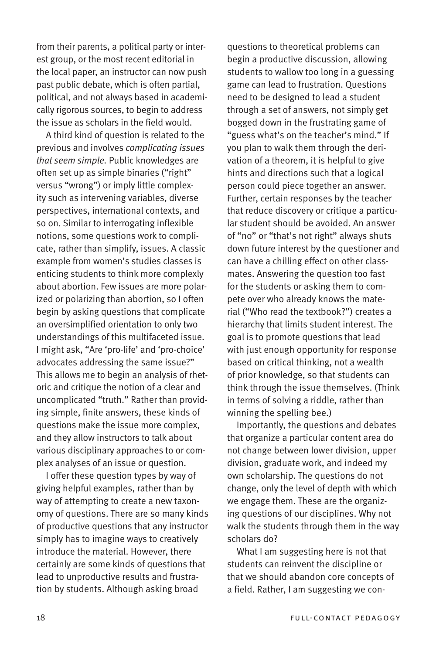from their parents, a political party or interest group, or the most recent editorial in the local paper, an instructor can now push past public debate, which is often partial, political, and not always based in academically rigorous sources, to begin to address the issue as scholars in the field would.

A third kind of question is related to the previous and involves *complicating issues that seem simple.* Public knowledges are often set up as simple binaries ("right" versus "wrong") or imply little complexity such as intervening variables, diverse perspectives, international contexts, and so on. Similar to interrogating inflexible notions, some questions work to complicate, rather than simplify, issues. A classic example from women's studies classes is enticing students to think more complexly about abortion. Few issues are more polarized or polarizing than abortion, so I often begin by asking questions that complicate an oversimplified orientation to only two understandings of this multifaceted issue. I might ask, "Are 'pro-life' and 'pro-choice' advocates addressing the same issue?" This allows me to begin an analysis of rhetoric and critique the notion of a clear and uncomplicated "truth." Rather than providing simple, finite answers, these kinds of questions make the issue more complex, and they allow instructors to talk about various disciplinary approaches to or complex analyses of an issue or question.

I offer these question types by way of giving helpful examples, rather than by way of attempting to create a new taxonomy of questions. There are so many kinds of productive questions that any instructor simply has to imagine ways to creatively introduce the material. However, there certainly are some kinds of questions that lead to unproductive results and frustration by students. Although asking broad

questions to theoretical problems can begin a productive discussion, allowing students to wallow too long in a guessing game can lead to frustration. Questions need to be designed to lead a student through a set of answers, not simply get bogged down in the frustrating game of "guess what's on the teacher's mind." If you plan to walk them through the derivation of a theorem, it is helpful to give hints and directions such that a logical person could piece together an answer. Further, certain responses by the teacher that reduce discovery or critique a particular student should be avoided. An answer of "no" or "that's not right" always shuts down future interest by the questioner and can have a chilling effect on other classmates. Answering the question too fast for the students or asking them to compete over who already knows the material ("Who read the textbook?") creates a hierarchy that limits student interest. The goal is to promote questions that lead with just enough opportunity for response based on critical thinking, not a wealth of prior knowledge, so that students can think through the issue themselves. (Think in terms of solving a riddle, rather than winning the spelling bee.)

Importantly, the questions and debates that organize a particular content area do not change between lower division, upper division, graduate work, and indeed my own scholarship. The questions do not change, only the level of depth with which we engage them. These are the organizing questions of our disciplines. Why not walk the students through them in the way scholars do?

What I am suggesting here is not that students can reinvent the discipline or that we should abandon core concepts of a field. Rather, I am suggesting we con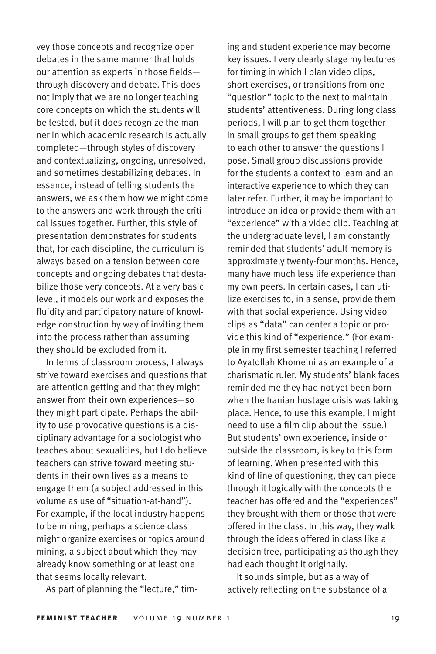vey those concepts and recognize open debates in the same manner that holds our attention as experts in those fields through discovery and debate. This does not imply that we are no longer teaching core concepts on which the students will be tested, but it does recognize the manner in which academic research is actually completed—through styles of discovery and contextualizing, ongoing, unresolved, and sometimes destabilizing debates. In essence, instead of telling students the answers, we ask them how we might come to the answers and work through the critical issues together. Further, this style of presentation demonstrates for students that, for each discipline, the curriculum is always based on a tension between core concepts and ongoing debates that destabilize those very concepts. At a very basic level, it models our work and exposes the fluidity and participatory nature of knowledge construction by way of inviting them into the process rather than assuming they should be excluded from it.

In terms of classroom process, I always strive toward exercises and questions that are attention getting and that they might answer from their own experiences—so they might participate. Perhaps the ability to use provocative questions is a disciplinary advantage for a sociologist who teaches about sexualities, but I do believe teachers can strive toward meeting students in their own lives as a means to engage them (a subject addressed in this volume as use of "situation-at-hand"). For example, if the local industry happens to be mining, perhaps a science class might organize exercises or topics around mining, a subject about which they may already know something or at least one that seems locally relevant.

As part of planning the "lecture," tim-

ing and student experience may become key issues. I very clearly stage my lectures for timing in which I plan video clips, short exercises, or transitions from one "question" topic to the next to maintain students' attentiveness. During long class periods, I will plan to get them together in small groups to get them speaking to each other to answer the questions I pose. Small group discussions provide for the students a context to learn and an interactive experience to which they can later refer. Further, it may be important to introduce an idea or provide them with an "experience" with a video clip. Teaching at the undergraduate level, I am constantly reminded that students' adult memory is approximately twenty-four months. Hence, many have much less life experience than my own peers. In certain cases, I can utilize exercises to, in a sense, provide them with that social experience. Using video clips as "data" can center a topic or provide this kind of "experience." (For example in my first semester teaching I referred to Ayatollah Khomeini as an example of a charismatic ruler. My students' blank faces reminded me they had not yet been born when the Iranian hostage crisis was taking place. Hence, to use this example, I might need to use a film clip about the issue.) But students' own experience, inside or outside the classroom, is key to this form of learning. When presented with this kind of line of questioning, they can piece through it logically with the concepts the teacher has offered and the "experiences" they brought with them or those that were offered in the class. In this way, they walk through the ideas offered in class like a decision tree, participating as though they had each thought it originally.

It sounds simple, but as a way of actively reflecting on the substance of a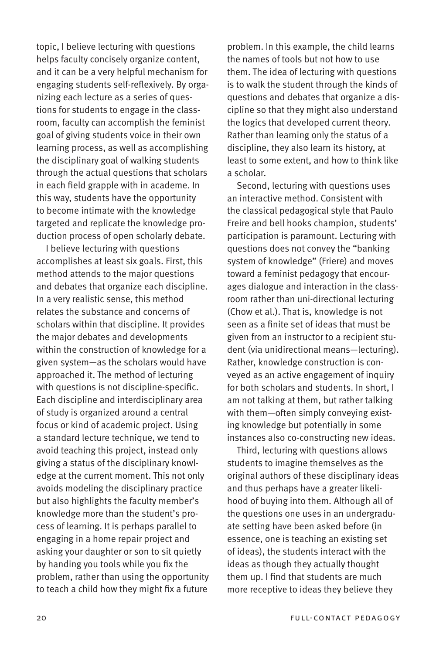topic, I believe lecturing with questions helps faculty concisely organize content, and it can be a very helpful mechanism for engaging students self-reflexively. By organizing each lecture as a series of questions for students to engage in the classroom, faculty can accomplish the feminist goal of giving students voice in their own learning process, as well as accomplishing the disciplinary goal of walking students through the actual questions that scholars in each field grapple with in academe. In this way, students have the opportunity to become intimate with the knowledge targeted and replicate the knowledge production process of open scholarly debate.

I believe lecturing with questions accomplishes at least six goals. First, this method attends to the major questions and debates that organize each discipline. In a very realistic sense, this method relates the substance and concerns of scholars within that discipline. It provides the major debates and developments within the construction of knowledge for a given system—as the scholars would have approached it. The method of lecturing with questions is not discipline-specific. Each discipline and interdisciplinary area of study is organized around a central focus or kind of academic project. Using a standard lecture technique, we tend to avoid teaching this project, instead only giving a status of the disciplinary knowledge at the current moment. This not only avoids modeling the disciplinary practice but also highlights the faculty member's knowledge more than the student's process of learning. It is perhaps parallel to engaging in a home repair project and asking your daughter or son to sit quietly by handing you tools while you fix the problem, rather than using the opportunity to teach a child how they might fix a future

problem. In this example, the child learns the names of tools but not how to use them. The idea of lecturing with questions is to walk the student through the kinds of questions and debates that organize a discipline so that they might also understand the logics that developed current theory. Rather than learning only the status of a discipline, they also learn its history, at least to some extent, and how to think like a scholar.

Second, lecturing with questions uses an interactive method. Consistent with the classical pedagogical style that Paulo Freire and bell hooks champion, students' participation is paramount. Lecturing with questions does not convey the "banking system of knowledge" (Friere) and moves toward a feminist pedagogy that encourages dialogue and interaction in the classroom rather than uni-directional lecturing (Chow et al.). That is, knowledge is not seen as a finite set of ideas that must be given from an instructor to a recipient student (via unidirectional means—lecturing). Rather, knowledge construction is conveyed as an active engagement of inquiry for both scholars and students. In short, I am not talking at them, but rather talking with them—often simply conveying existing knowledge but potentially in some instances also co-constructing new ideas.

Third, lecturing with questions allows students to imagine themselves as the original authors of these disciplinary ideas and thus perhaps have a greater likelihood of buying into them. Although all of the questions one uses in an undergraduate setting have been asked before (in essence, one is teaching an existing set of ideas), the students interact with the ideas as though they actually thought them up. I find that students are much more receptive to ideas they believe they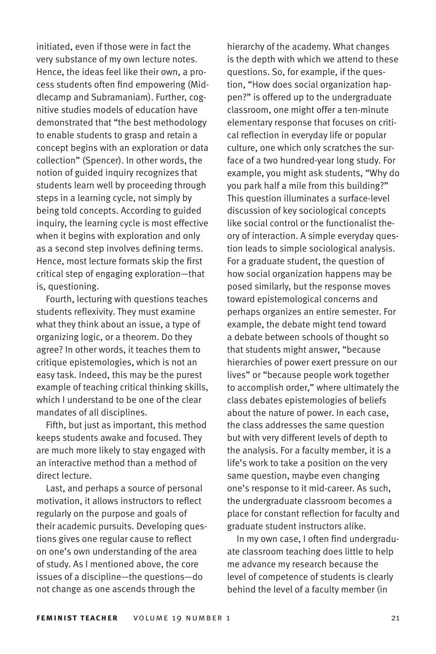initiated, even if those were in fact the very substance of my own lecture notes. Hence, the ideas feel like their own, a process students often find empowering (Middlecamp and Subramaniam). Further, cognitive studies models of education have demonstrated that "the best methodology to enable students to grasp and retain a concept begins with an exploration or data collection" (Spencer). In other words, the notion of guided inquiry recognizes that students learn well by proceeding through steps in a learning cycle, not simply by being told concepts. According to guided inquiry, the learning cycle is most effective when it begins with exploration and only as a second step involves defining terms. Hence, most lecture formats skip the first critical step of engaging exploration—that is, questioning.

Fourth, lecturing with questions teaches students reflexivity. They must examine what they think about an issue, a type of organizing logic, or a theorem. Do they agree? In other words, it teaches them to critique epistemologies, which is not an easy task. Indeed, this may be the purest example of teaching critical thinking skills, which I understand to be one of the clear mandates of all disciplines.

Fifth, but just as important, this method keeps students awake and focused. They are much more likely to stay engaged with an interactive method than a method of direct lecture.

Last, and perhaps a source of personal motivation, it allows instructors to reflect regularly on the purpose and goals of their academic pursuits. Developing questions gives one regular cause to reflect on one's own understanding of the area of study. As I mentioned above, the core issues of a discipline—the questions—do not change as one ascends through the

hierarchy of the academy. What changes is the depth with which we attend to these questions. So, for example, if the question, "How does social organization happen?" is offered up to the undergraduate classroom, one might offer a ten-minute elementary response that focuses on critical reflection in everyday life or popular culture, one which only scratches the surface of a two hundred-year long study. For example, you might ask students, "Why do you park half a mile from this building?" This question illuminates a surface-level discussion of key sociological concepts like social control or the functionalist theory of interaction. A simple everyday question leads to simple sociological analysis. For a graduate student, the question of how social organization happens may be posed similarly, but the response moves toward epistemological concerns and perhaps organizes an entire semester. For example, the debate might tend toward a debate between schools of thought so that students might answer, "because hierarchies of power exert pressure on our lives" or "because people work together to accomplish order," where ultimately the class debates epistemologies of beliefs about the nature of power. In each case, the class addresses the same question but with very different levels of depth to the analysis. For a faculty member, it is a life's work to take a position on the very same question, maybe even changing one's response to it mid-career. As such, the undergraduate classroom becomes a place for constant reflection for faculty and graduate student instructors alike.

In my own case, I often find undergraduate classroom teaching does little to help me advance my research because the level of competence of students is clearly behind the level of a faculty member (in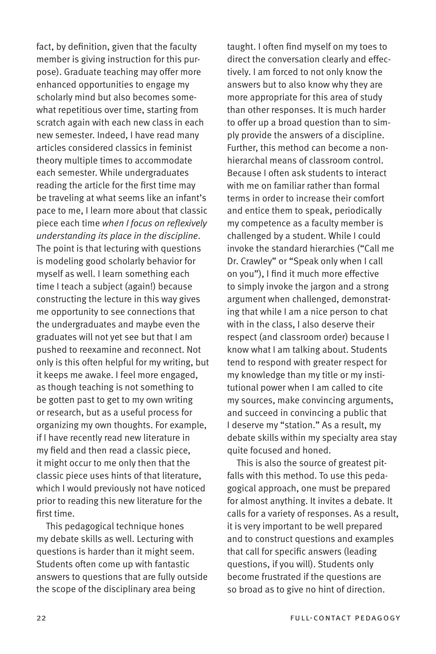fact, by definition, given that the faculty member is giving instruction for this purpose). Graduate teaching may offer more enhanced opportunities to engage my scholarly mind but also becomes somewhat repetitious over time, starting from scratch again with each new class in each new semester. Indeed, I have read many articles considered classics in feminist theory multiple times to accommodate each semester. While undergraduates reading the article for the first time may be traveling at what seems like an infant's pace to me, I learn more about that classic piece each time *when I focus on reflexively understanding its place in the discipline*. The point is that lecturing with questions is modeling good scholarly behavior for myself as well. I learn something each time I teach a subject (again!) because constructing the lecture in this way gives me opportunity to see connections that the undergraduates and maybe even the graduates will not yet see but that I am pushed to reexamine and reconnect. Not only is this often helpful for my writing, but it keeps me awake. I feel more engaged, as though teaching is not something to be gotten past to get to my own writing or research, but as a useful process for organizing my own thoughts. For example, if I have recently read new literature in my field and then read a classic piece, it might occur to me only then that the classic piece uses hints of that literature, which I would previously not have noticed prior to reading this new literature for the first time.

This pedagogical technique hones my debate skills as well. Lecturing with questions is harder than it might seem. Students often come up with fantastic answers to questions that are fully outside the scope of the disciplinary area being

taught. I often find myself on my toes to direct the conversation clearly and effectively. I am forced to not only know the answers but to also know why they are more appropriate for this area of study than other responses. It is much harder to offer up a broad question than to simply provide the answers of a discipline. Further, this method can become a nonhierarchal means of classroom control. Because I often ask students to interact with me on familiar rather than formal terms in order to increase their comfort and entice them to speak, periodically my competence as a faculty member is challenged by a student. While I could invoke the standard hierarchies ("Call me Dr. Crawley" or "Speak only when I call on you"), I find it much more effective to simply invoke the jargon and a strong argument when challenged, demonstrating that while I am a nice person to chat with in the class, I also deserve their respect (and classroom order) because I know what I am talking about. Students tend to respond with greater respect for my knowledge than my title or my institutional power when I am called to cite my sources, make convincing arguments, and succeed in convincing a public that I deserve my "station." As a result, my debate skills within my specialty area stay quite focused and honed.

This is also the source of greatest pitfalls with this method. To use this pedagogical approach, one must be prepared for almost anything. It invites a debate. It calls for a variety of responses. As a result, it is very important to be well prepared and to construct questions and examples that call for specific answers (leading questions, if you will). Students only become frustrated if the questions are so broad as to give no hint of direction.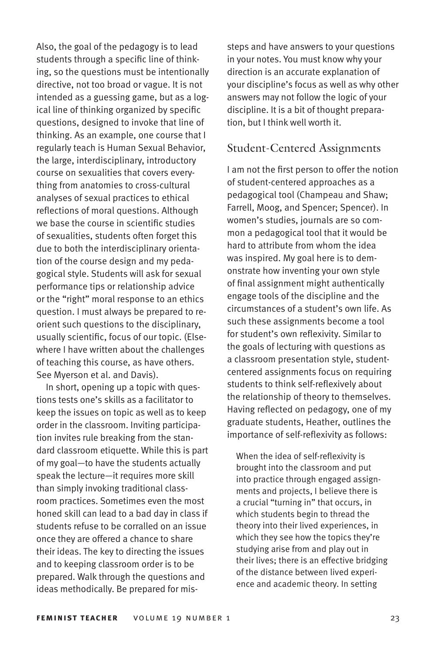Also, the goal of the pedagogy is to lead students through a specific line of thinking, so the questions must be intentionally directive, not too broad or vague. It is not intended as a guessing game, but as a logical line of thinking organized by specific questions, designed to invoke that line of thinking. As an example, one course that I regularly teach is Human Sexual Behavior, the large, interdisciplinary, introductory course on sexualities that covers everything from anatomies to cross-cultural analyses of sexual practices to ethical reflections of moral questions. Although we base the course in scientific studies of sexualities, students often forget this due to both the interdisciplinary orientation of the course design and my pedagogical style. Students will ask for sexual performance tips or relationship advice or the "right" moral response to an ethics question. I must always be prepared to reorient such questions to the disciplinary, usually scientific, focus of our topic. (Elsewhere I have written about the challenges of teaching this course, as have others. See Myerson et al. and Davis).

In short, opening up a topic with questions tests one's skills as a facilitator to keep the issues on topic as well as to keep order in the classroom. Inviting participation invites rule breaking from the standard classroom etiquette. While this is part of my goal—to have the students actually speak the lecture—it requires more skill than simply invoking traditional classroom practices. Sometimes even the most honed skill can lead to a bad day in class if students refuse to be corralled on an issue once they are offered a chance to share their ideas. The key to directing the issues and to keeping classroom order is to be prepared. Walk through the questions and ideas methodically. Be prepared for missteps and have answers to your questions in your notes. You must know why your direction is an accurate explanation of your discipline's focus as well as why other answers may not follow the logic of your discipline. It is a bit of thought preparation, but I think well worth it.

#### Student-Centered Assignments

I am not the first person to offer the notion of student-centered approaches as a pedagogical tool (Champeau and Shaw; Farrell, Moog, and Spencer; Spencer). In women's studies, journals are so common a pedagogical tool that it would be hard to attribute from whom the idea was inspired. My goal here is to demonstrate how inventing your own style of final assignment might authentically engage tools of the discipline and the circumstances of a student's own life. As such these assignments become a tool for student's own reflexivity. Similar to the goals of lecturing with questions as a classroom presentation style, studentcentered assignments focus on requiring students to think self-reflexively about the relationship of theory to themselves. Having reflected on pedagogy, one of my graduate students, Heather, outlines the importance of self-reflexivity as follows:

When the idea of self-reflexivity is brought into the classroom and put into practice through engaged assignments and projects, I believe there is a crucial "turning in" that occurs, in which students begin to thread the theory into their lived experiences, in which they see how the topics they're studying arise from and play out in their lives; there is an effective bridging of the distance between lived experience and academic theory. In setting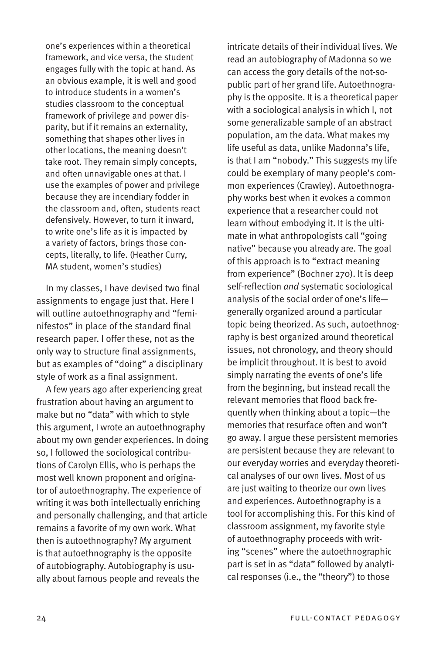one's experiences within a theoretical framework, and vice versa, the student engages fully with the topic at hand. As an obvious example, it is well and good to introduce students in a women's studies classroom to the conceptual framework of privilege and power disparity, but if it remains an externality, something that shapes other lives in other locations, the meaning doesn't take root. They remain simply concepts, and often unnavigable ones at that. I use the examples of power and privilege because they are incendiary fodder in the classroom and, often, students react defensively. However, to turn it inward, to write one's life as it is impacted by a variety of factors, brings those concepts, literally, to life. (Heather Curry, MA student, women's studies)

In my classes, I have devised two final assignments to engage just that. Here I will outline autoethnography and "feminifestos" in place of the standard final research paper. I offer these, not as the only way to structure final assignments, but as examples of "doing" a disciplinary style of work as a final assignment.

A few years ago after experiencing great frustration about having an argument to make but no "data" with which to style this argument, I wrote an autoethnography about my own gender experiences. In doing so, I followed the sociological contributions of Carolyn Ellis, who is perhaps the most well known proponent and originator of autoethnography. The experience of writing it was both intellectually enriching and personally challenging, and that article remains a favorite of my own work. What then is autoethnography? My argument is that autoethnography is the opposite of autobiography. Autobiography is usually about famous people and reveals the

read an autobiography of Madonna so we can access the gory details of the not-sopublic part of her grand life. Autoethnography is the opposite. It is a theoretical paper with a sociological analysis in which I, not some generalizable sample of an abstract population, am the data. What makes my life useful as data, unlike Madonna's life, is that I am "nobody." This suggests my life could be exemplary of many people's common experiences (Crawley). Autoethnography works best when it evokes a common experience that a researcher could not learn without embodying it. It is the ultimate in what anthropologists call "going native" because you already are. The goal of this approach is to "extract meaning from experience" (Bochner 270). It is deep self-reflection *and* systematic sociological analysis of the social order of one's life generally organized around a particular topic being theorized. As such, autoethnography is best organized around theoretical issues, not chronology, and theory should be implicit throughout. It is best to avoid simply narrating the events of one's life from the beginning, but instead recall the relevant memories that flood back frequently when thinking about a topic—the memories that resurface often and won't go away. I argue these persistent memories are persistent because they are relevant to our everyday worries and everyday theoretical analyses of our own lives. Most of us are just waiting to theorize our own lives and experiences. Autoethnography is a tool for accomplishing this. For this kind of classroom assignment, my favorite style of autoethnography proceeds with writing "scenes" where the autoethnographic part is set in as "data" followed by analytical responses (i.e., the "theory") to those

intricate details of their individual lives. We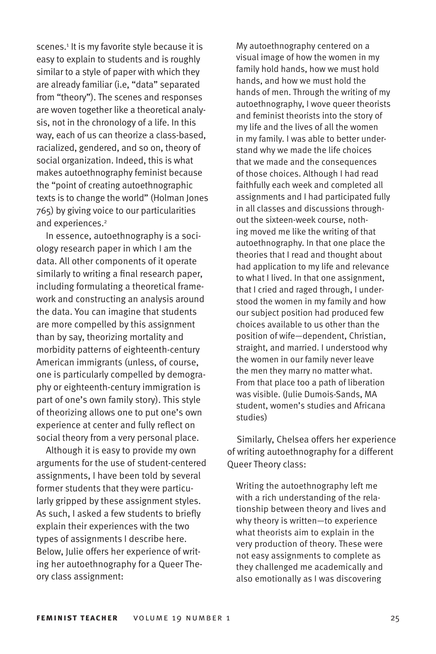scenes.<sup>1</sup> It is my favorite style because it is easy to explain to students and is roughly similar to a style of paper with which they are already familiar (i.e, "data" separated from "theory"). The scenes and responses are woven together like a theoretical analysis, not in the chronology of a life. In this way, each of us can theorize a class-based, racialized, gendered, and so on, theory of social organization. Indeed, this is what makes autoethnography feminist because the "point of creating autoethnographic texts is to change the world" (Holman Jones 765) by giving voice to our particularities and experiences.<sup>2</sup>

In essence, autoethnography is a sociology research paper in which I am the data. All other components of it operate similarly to writing a final research paper, including formulating a theoretical framework and constructing an analysis around the data. You can imagine that students are more compelled by this assignment than by say, theorizing mortality and morbidity patterns of eighteenth-century American immigrants (unless, of course, one is particularly compelled by demography or eighteenth-century immigration is part of one's own family story). This style of theorizing allows one to put one's own experience at center and fully reflect on social theory from a very personal place.

Although it is easy to provide my own arguments for the use of student-centered assignments, I have been told by several former students that they were particularly gripped by these assignment styles. As such, I asked a few students to briefly explain their experiences with the two types of assignments I describe here. Below, Julie offers her experience of writing her autoethnography for a Queer Theory class assignment:

My autoethnography centered on a visual image of how the women in my family hold hands, how we must hold hands, and how we must hold the hands of men. Through the writing of my autoethnography, I wove queer theorists and feminist theorists into the story of my life and the lives of all the women in my family. I was able to better understand why we made the life choices that we made and the consequences of those choices. Although I had read faithfully each week and completed all assignments and I had participated fully in all classes and discussions throughout the sixteen-week course, nothing moved me like the writing of that autoethnography. In that one place the theories that I read and thought about had application to my life and relevance to what I lived. In that one assignment, that I cried and raged through, I understood the women in my family and how our subject position had produced few choices available to us other than the position of wife—dependent, Christian, straight, and married. I understood why the women in our family never leave the men they marry no matter what. From that place too a path of liberation was visible. (Julie Dumois-Sands, MA student, women's studies and Africana studies)

Similarly, Chelsea offers her experience of writing autoethnography for a different Queer Theory class:

Writing the autoethnography left me with a rich understanding of the relationship between theory and lives and why theory is written—to experience what theorists aim to explain in the very production of theory. These were not easy assignments to complete as they challenged me academically and also emotionally as I was discovering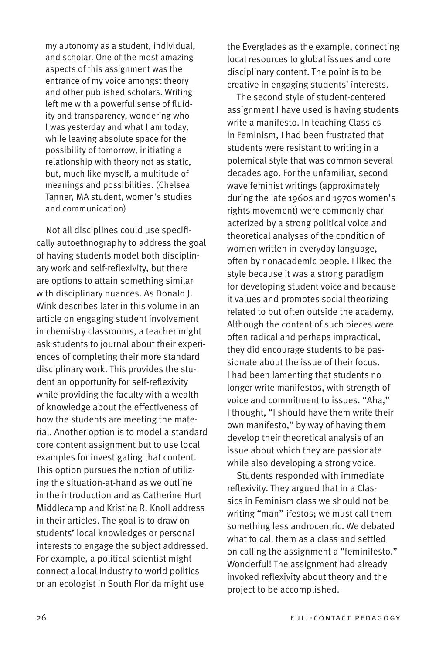my autonomy as a student, individual, and scholar. One of the most amazing aspects of this assignment was the entrance of my voice amongst theory and other published scholars. Writing left me with a powerful sense of fluidity and transparency, wondering who I was yesterday and what I am today, while leaving absolute space for the possibility of tomorrow, initiating a relationship with theory not as static, but, much like myself, a multitude of meanings and possibilities. (Chelsea Tanner, MA student, women's studies and communication)

Not all disciplines could use specifically autoethnography to address the goal of having students model both disciplinary work and self-reflexivity, but there are options to attain something similar with disciplinary nuances. As Donald J. Wink describes later in this volume in an article on engaging student involvement in chemistry classrooms, a teacher might ask students to journal about their experiences of completing their more standard disciplinary work. This provides the student an opportunity for self-reflexivity while providing the faculty with a wealth of knowledge about the effectiveness of how the students are meeting the material. Another option is to model a standard core content assignment but to use local examples for investigating that content. This option pursues the notion of utilizing the situation-at-hand as we outline in the introduction and as Catherine Hurt Middlecamp and Kristina R. Knoll address in their articles. The goal is to draw on students' local knowledges or personal interests to engage the subject addressed. For example, a political scientist might connect a local industry to world politics or an ecologist in South Florida might use

the Everglades as the example, connecting local resources to global issues and core disciplinary content. The point is to be creative in engaging students' interests.

The second style of student-centered assignment I have used is having students write a manifesto. In teaching Classics in Feminism, I had been frustrated that students were resistant to writing in a polemical style that was common several decades ago. For the unfamiliar, second wave feminist writings (approximately during the late 1960s and 1970s women's rights movement) were commonly characterized by a strong political voice and theoretical analyses of the condition of women written in everyday language, often by nonacademic people. I liked the style because it was a strong paradigm for developing student voice and because it values and promotes social theorizing related to but often outside the academy. Although the content of such pieces were often radical and perhaps impractical, they did encourage students to be passionate about the issue of their focus. I had been lamenting that students no longer write manifestos, with strength of voice and commitment to issues. "Aha," I thought, "I should have them write their own manifesto," by way of having them develop their theoretical analysis of an issue about which they are passionate while also developing a strong voice.

Students responded with immediate reflexivity. They argued that in a Classics in Feminism class we should not be writing "man"-ifestos; we must call them something less androcentric. We debated what to call them as a class and settled on calling the assignment a "feminifesto." Wonderful! The assignment had already invoked reflexivity about theory and the project to be accomplished.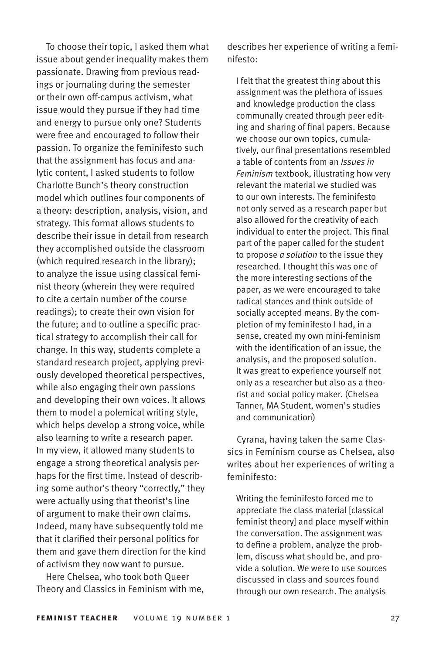To choose their topic, I asked them what issue about gender inequality makes them passionate. Drawing from previous readings or journaling during the semester or their own off-campus activism, what issue would they pursue if they had time and energy to pursue only one? Students were free and encouraged to follow their passion. To organize the feminifesto such that the assignment has focus and analytic content, I asked students to follow Charlotte Bunch's theory construction model which outlines four components of a theory: description, analysis, vision, and strategy. This format allows students to describe their issue in detail from research they accomplished outside the classroom (which required research in the library); to analyze the issue using classical feminist theory (wherein they were required to cite a certain number of the course readings); to create their own vision for the future; and to outline a specific practical strategy to accomplish their call for change. In this way, students complete a standard research project, applying previously developed theoretical perspectives, while also engaging their own passions and developing their own voices. It allows them to model a polemical writing style, which helps develop a strong voice, while also learning to write a research paper. In my view, it allowed many students to engage a strong theoretical analysis perhaps for the first time. Instead of describing some author's theory "correctly," they were actually using that theorist's line of argument to make their own claims. Indeed, many have subsequently told me that it clarified their personal politics for them and gave them direction for the kind of activism they now want to pursue.

Here Chelsea, who took both Queer Theory and Classics in Feminism with me, describes her experience of writing a feminifesto:

I felt that the greatest thing about this assignment was the plethora of issues and knowledge production the class communally created through peer editing and sharing of final papers. Because we choose our own topics, cumulatively, our final presentations resembled a table of contents from an *Issues in Feminism* textbook, illustrating how very relevant the material we studied was to our own interests. The feminifesto not only served as a research paper but also allowed for the creativity of each individual to enter the project. This final part of the paper called for the student to propose *a solution* to the issue they researched. I thought this was one of the more interesting sections of the paper, as we were encouraged to take radical stances and think outside of socially accepted means. By the completion of my feminifesto I had, in a sense, created my own mini-feminism with the identification of an issue, the analysis, and the proposed solution. It was great to experience yourself not only as a researcher but also as a theorist and social policy maker. (Chelsea Tanner, MA Student, women's studies and communication)

Cyrana, having taken the same Classics in Feminism course as Chelsea, also writes about her experiences of writing a feminifesto:

Writing the feminifesto forced me to appreciate the class material [classical feminist theory] and place myself within the conversation. The assignment was to define a problem, analyze the problem, discuss what should be, and provide a solution. We were to use sources discussed in class and sources found through our own research. The analysis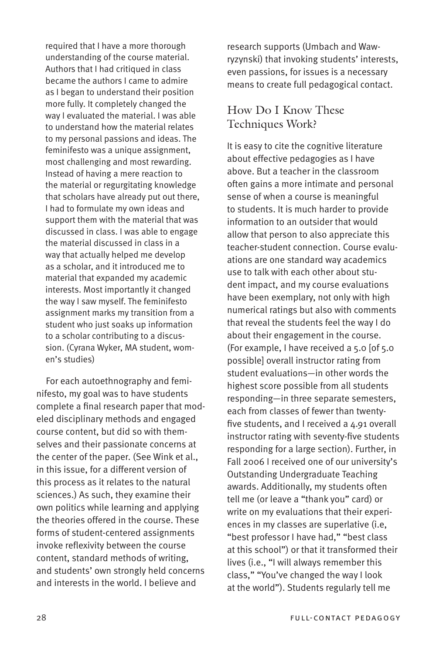required that I have a more thorough understanding of the course material. Authors that I had critiqued in class became the authors I came to admire as I began to understand their position more fully. It completely changed the way I evaluated the material. I was able to understand how the material relates to my personal passions and ideas. The feminifesto was a unique assignment, most challenging and most rewarding. Instead of having a mere reaction to the material or regurgitating knowledge that scholars have already put out there, I had to formulate my own ideas and support them with the material that was discussed in class. I was able to engage the material discussed in class in a way that actually helped me develop as a scholar, and it introduced me to material that expanded my academic interests. Most importantly it changed the way I saw myself. The feminifesto assignment marks my transition from a student who just soaks up information to a scholar contributing to a discussion. (Cyrana Wyker, MA student, women's studies)

For each autoethnography and feminifesto, my goal was to have students complete a final research paper that modeled disciplinary methods and engaged course content, but did so with themselves and their passionate concerns at the center of the paper. (See Wink et al., in this issue, for a different version of this process as it relates to the natural sciences.) As such, they examine their own politics while learning and applying the theories offered in the course. These forms of student-centered assignments invoke reflexivity between the course content, standard methods of writing, and students' own strongly held concerns and interests in the world. I believe and

research supports (Umbach and Wawryzynski) that invoking students' interests, even passions, for issues is a necessary means to create full pedagogical contact.

## How Do I Know These Techniques Work?

It is easy to cite the cognitive literature about effective pedagogies as I have above. But a teacher in the classroom often gains a more intimate and personal sense of when a course is meaningful to students. It is much harder to provide information to an outsider that would allow that person to also appreciate this teacher-student connection. Course evaluations are one standard way academics use to talk with each other about student impact, and my course evaluations have been exemplary, not only with high numerical ratings but also with comments that reveal the students feel the way I do about their engagement in the course. (For example, I have received a 5.0 [of 5.0 possible] overall instructor rating from student evaluations—in other words the highest score possible from all students responding—in three separate semesters, each from classes of fewer than twentyfive students, and I received a 4.91 overall instructor rating with seventy-five students responding for a large section). Further, in Fall 2006 I received one of our university's Outstanding Undergraduate Teaching awards. Additionally, my students often tell me (or leave a "thank you" card) or write on my evaluations that their experiences in my classes are superlative (i.e, "best professor I have had," "best class at this school") or that it transformed their lives (i.e., "I will always remember this class," "You've changed the way I look at the world"). Students regularly tell me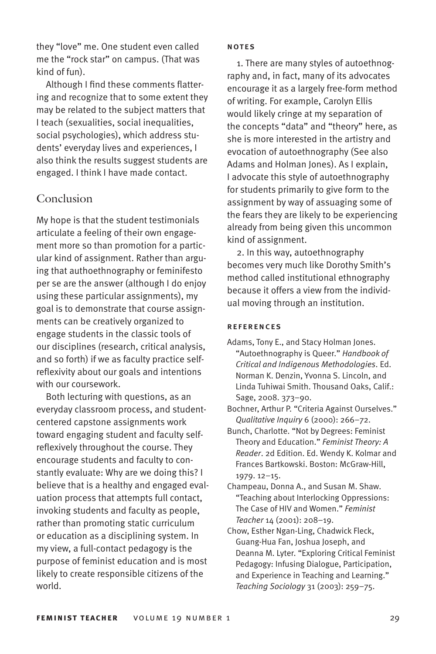they "love" me. One student even called me the "rock star" on campus. (That was kind of fun).

Although I find these comments flattering and recognize that to some extent they may be related to the subject matters that I teach (sexualities, social inequalities, social psychologies), which address students' everyday lives and experiences, I also think the results suggest students are engaged. I think I have made contact.

### Conclusion

My hope is that the student testimonials articulate a feeling of their own engagement more so than promotion for a particular kind of assignment. Rather than arguing that authoethnography or feminifesto per se are the answer (although I do enjoy using these particular assignments), my goal is to demonstrate that course assignments can be creatively organized to engage students in the classic tools of our disciplines (research, critical analysis, and so forth) if we as faculty practice selfreflexivity about our goals and intentions with our coursework.

Both lecturing with questions, as an everyday classroom process, and studentcentered capstone assignments work toward engaging student and faculty selfreflexively throughout the course. They encourage students and faculty to constantly evaluate: Why are we doing this? I believe that is a healthy and engaged evaluation process that attempts full contact, invoking students and faculty as people, rather than promoting static curriculum or education as a disciplining system. In my view, a full-contact pedagogy is the purpose of feminist education and is most likely to create responsible citizens of the world.

#### notes

1. There are many styles of autoethnography and, in fact, many of its advocates encourage it as a largely free-form method of writing. For example, Carolyn Ellis would likely cringe at my separation of the concepts "data" and "theory" here, as she is more interested in the artistry and evocation of autoethnography (See also Adams and Holman Jones). As I explain, I advocate this style of autoethnography for students primarily to give form to the assignment by way of assuaging some of the fears they are likely to be experiencing already from being given this uncommon kind of assignment.

2. In this way, autoethnography becomes very much like Dorothy Smith's method called institutional ethnography because it offers a view from the individual moving through an institution.

#### references

Adams, Tony E., and Stacy Holman Jones. "Autoethnography is Queer." *Handbook of Critical and Indigenous Methodologies*. Ed. Norman K. Denzin, Yvonna S. Lincoln, and Linda Tuhiwai Smith. Thousand Oaks, Calif.: Sage, 2008. 373–90.

Bochner, Arthur P. "Criteria Against Ourselves." *Qualitative Inquiry* 6 (2000): 266–72.

Bunch, Charlotte. "Not by Degrees: Feminist Theory and Education." *Feminist Theory: A Reader*. 2d Edition. Ed. Wendy K. Kolmar and Frances Bartkowski. Boston: McGraw-Hill, 1979. 12–15.

Champeau, Donna A., and Susan M. Shaw. "Teaching about Interlocking Oppressions: The Case of HIV and Women." *Feminist Teacher* 14 (2001): 208–19.

Chow, Esther Ngan-Ling, Chadwick Fleck, Guang-Hua Fan, Joshua Joseph, and Deanna M. Lyter. "Exploring Critical Feminist Pedagogy: Infusing Dialogue, Participation, and Experience in Teaching and Learning." *Teaching Sociology* 31 (2003): 259–75.